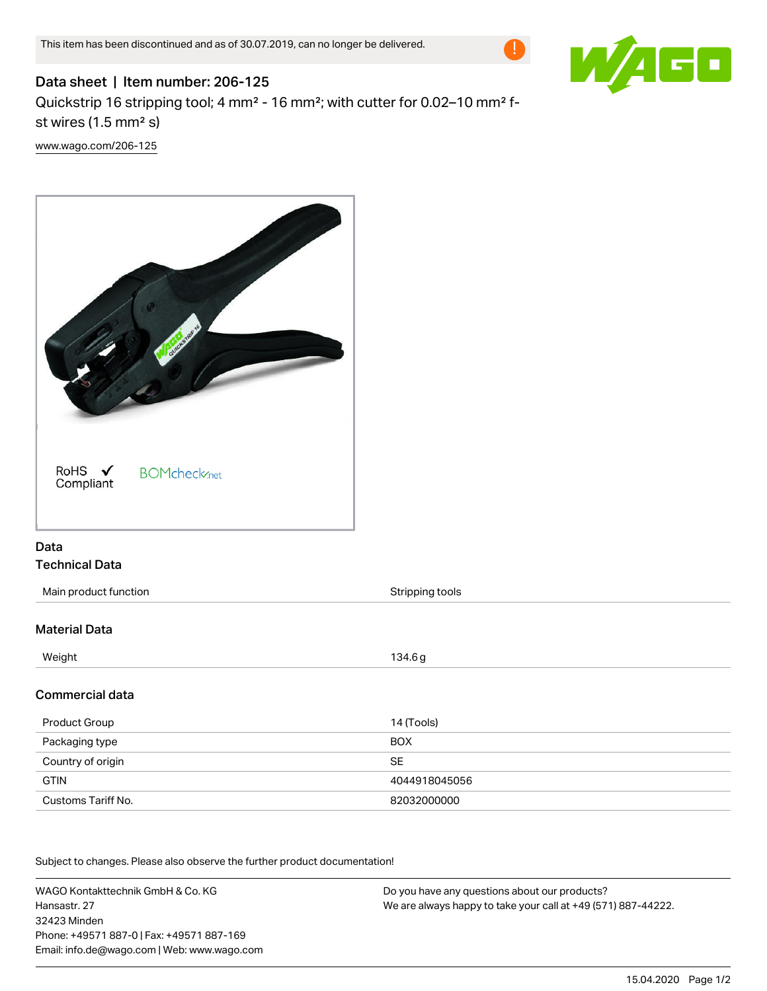

## Data sheet | Item number: 206-125 Quickstrip 16 stripping tool; 4 mm² - 16 mm²; with cutter for 0.02–10 mm² fst wires (1.5 mm² s) [www.wago.com/206-125](http://www.wago.com/206-125)



## Data Technical Data

| Main product function | Stripping tools |
|-----------------------|-----------------|
|                       |                 |
| <b>Material Data</b>  |                 |
| Weight                | 134.6 g         |
| Commercial data       |                 |
| Product Group         | 14 (Tools)      |
| Packaging type        | <b>BOX</b>      |
| Country of origin     | <b>SE</b>       |
| <b>GTIN</b>           | 4044918045056   |

Subject to changes. Please also observe the further product documentation!

Customs Tariff No. 82032000000

WAGO Kontakttechnik GmbH & Co. KG Hansastr. 27 32423 Minden Phone: +49571 887-0 | Fax: +49571 887-169 Email: info.de@wago.com | Web: www.wago.com Do you have any questions about our products? We are always happy to take your call at +49 (571) 887-44222.